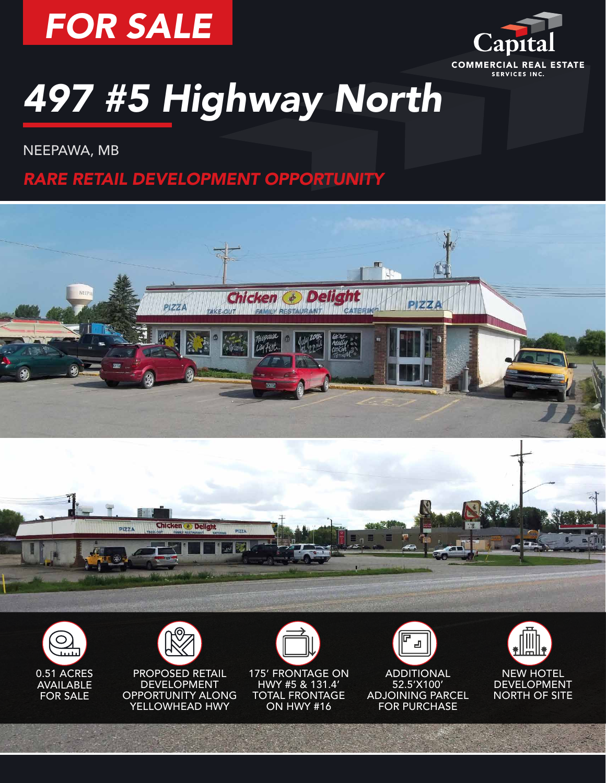



NEEPAWA, MB

*RARE RETAIL DEVELOPMENT OPPORTUNITY*









**DEVELOPMENT** OPPORTUNITY ALONG YELLOWHEAD HWY



凸 ADDITIONAL 52.5'X100' ADJOINING PARCEL FOR PURCHASE

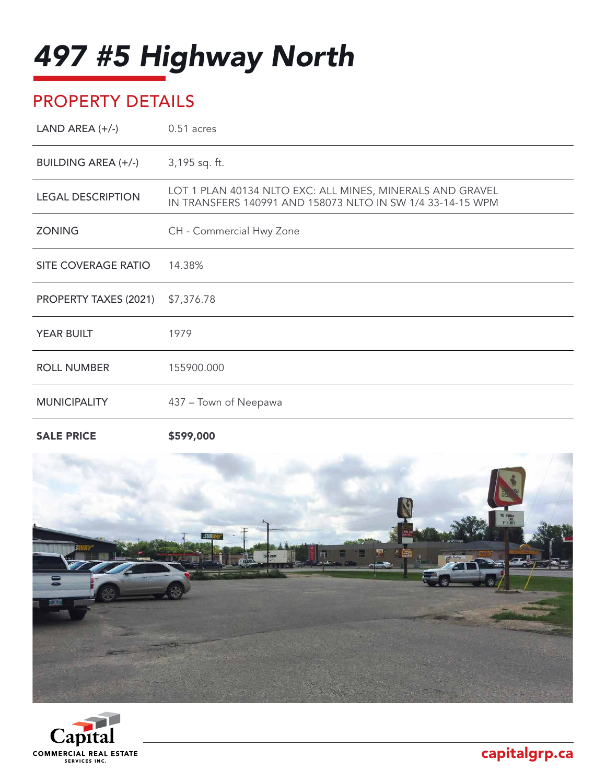# PROPERTY DETAILS

| LAND AREA $(+/-)$            | 0.51 acres                                                                                                              |
|------------------------------|-------------------------------------------------------------------------------------------------------------------------|
| <b>BUILDING AREA (+/-)</b>   | 3,195 sq. ft.                                                                                                           |
| <b>LEGAL DESCRIPTION</b>     | LOT 1 PLAN 40134 NLTO EXC: ALL MINES, MINERALS AND GRAVEL<br>IN TRANSFERS 140991 AND 158073 NLTO IN SW 1/4 33-14-15 WPM |
| <b>ZONING</b>                | CH - Commercial Hwy Zone                                                                                                |
| SITE COVERAGE RATIO          | 14.38%                                                                                                                  |
| <b>PROPERTY TAXES (2021)</b> | \$7,376.78                                                                                                              |
| <b>YEAR BUILT</b>            | 1979                                                                                                                    |
| <b>ROLL NUMBER</b>           | 155900.000                                                                                                              |
| <b>MUNICIPALITY</b>          | 437 - Town of Neepawa                                                                                                   |
|                              |                                                                                                                         |

SALE PRICE \$599,000



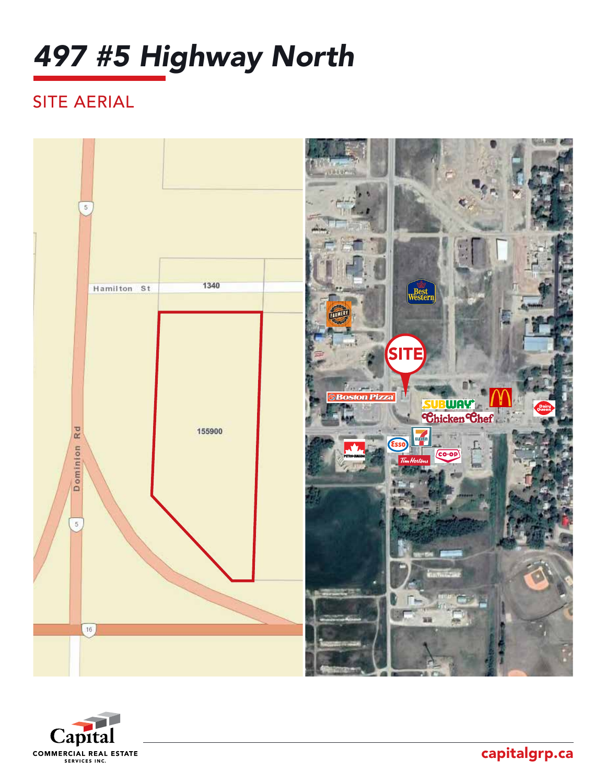# SITE AERIAL





capitalgrp.ca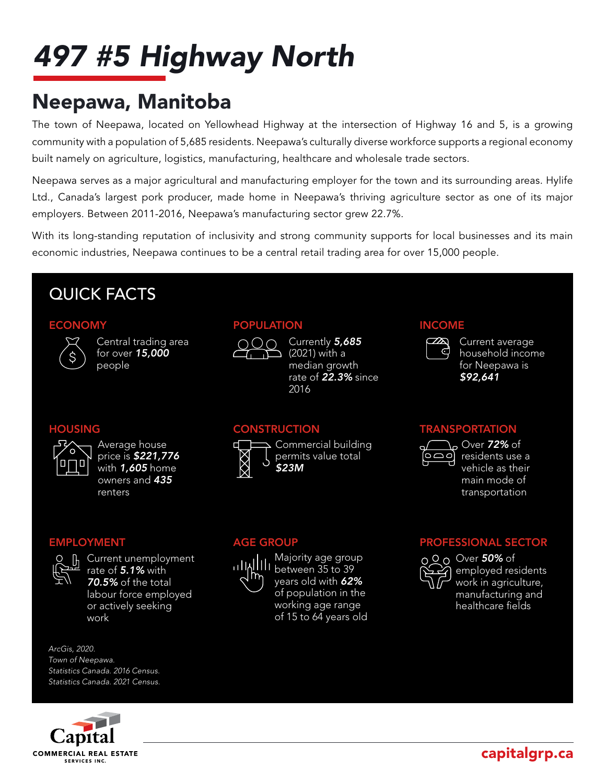# Neepawa, Manitoba

The town of Neepawa, located on Yellowhead Highway at the intersection of Highway 16 and 5, is a growing community with a population of 5,685 residents. Neepawa's culturally diverse workforce supports a regional economy built namely on agriculture, logistics, manufacturing, healthcare and wholesale trade sectors.

Neepawa serves as a major agricultural and manufacturing employer for the town and its surrounding areas. Hylife Ltd., Canada's largest pork producer, made home in Neepawa's thriving agriculture sector as one of its major employers. Between 2011-2016, Neepawa's manufacturing sector grew 22.7%.

With its long-standing reputation of inclusivity and strong community supports for local businesses and its main economic industries, Neepawa continues to be a central retail trading area for over 15,000 people.

## QUICK FACTS

#### **ECONOMY**



Central trading area for over *15,000* people

### POPULATION



Currently *5,685* (2021) with a median growth rate of *22.3%* since 2016

### HOUSING



Average house price is *\$221,776*  with *1,605* home owners and *435* renters

**CONSTRUCTION** 



Commercial building permits value total *\$23M*



EMPLOYMENT

**h** Current unemployment rate of *5.1%* with *70.5%* of the total labour force employed or actively seeking work

#### AGE GROUP



Majority age group  $\frac{1}{1}$ llll between 35 to 39 years old with *62%* of population in the working age range of 15 to 64 years old

#### **TRANSPORTATION**



INCOME

 $\simeq$ ු ර

> Over *72%* of residents use a vehicle as their main mode of transportation

Current average household income for Neepawa is *\$92,641*

### PROFESSIONAL SECTOR



Over *50%* of employed residents work in agriculture, manufacturing and healthcare fields

*ArcGis, 2020. Town of Neepawa. Statistics Canada. 2016 Census. Statistics Canada. 2021 Census.*



capitalgrp.ca